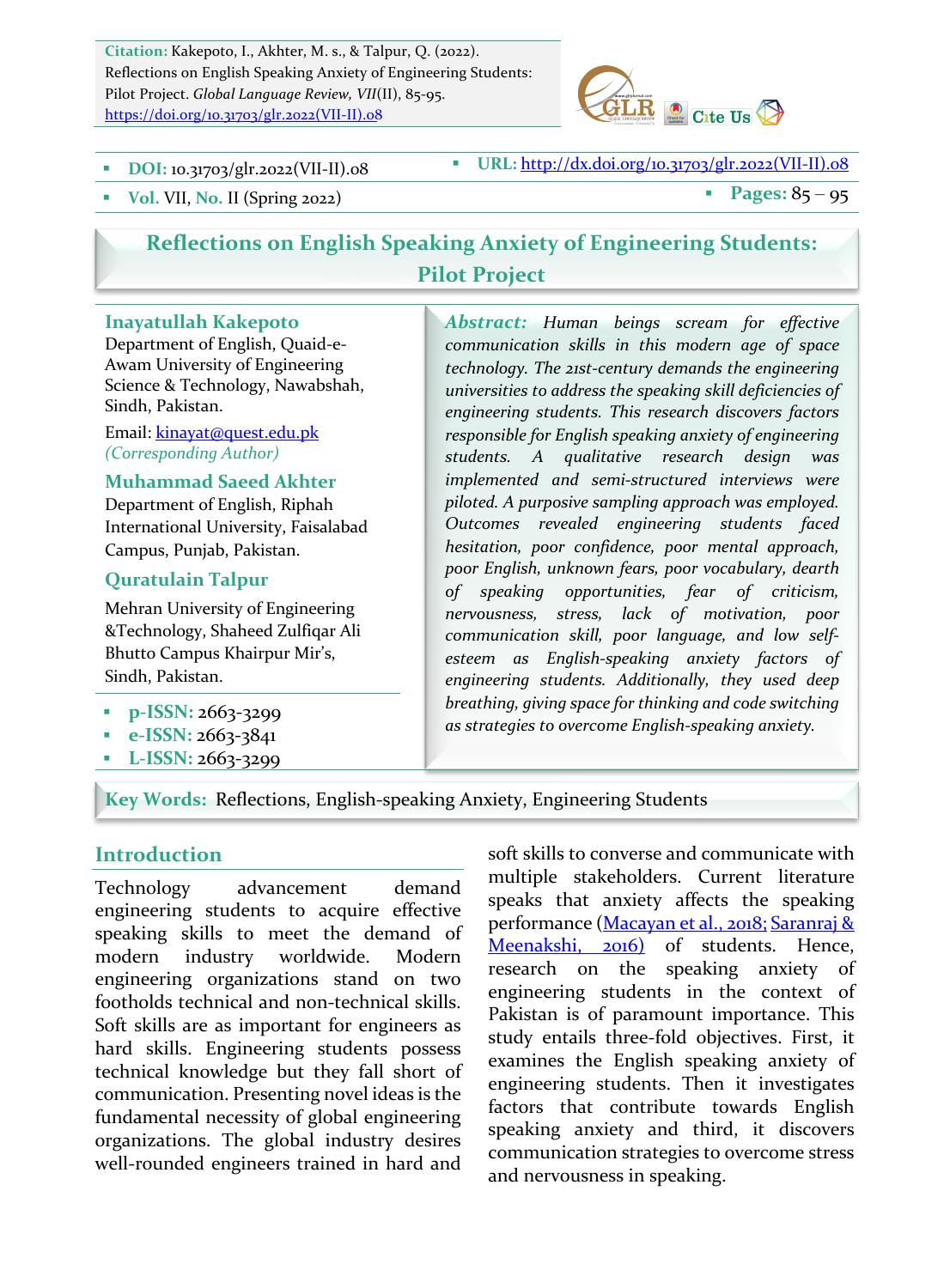Citation: Kakepoto, I., Akhter, M. s., & Talpur, Q. (2022). Reflections on English Speaking Anxiety of Engineering Students: Pilot Project. *Global Language Review, VII*(II), 85-95. https://doi.org/10.31703/glr.2022(VII-II).08



**DOI:** 10.31703/glr.2022(VII-II).08 **B** URL:  $\frac{http://dx.doi.org/10.31703/glr.2022(VII-II).08}$ 

• Vol. VII, No. II (Spring 2022) **•** Pages:  $85 - 95$ 

# **Reflections on English Speaking Anxiety of Engineering Students: Pilot Project**

#### **Inayatullah Kakepoto**

Department of English, Quaid-e-Awam University of Engineering Science & Technology, Nawabshah, Sindh, Pakistan.

Email: kinayat@quest.edu.pk *(Corresponding Author)*

#### **Muhammad Saeed Akhter**

Department of English, Riphah International University, Faisalabad Campus, Punjab, Pakistan.

#### **Quratulain Talpur**

Mehran University of Engineering &Technology, Shaheed Zulfiqar Ali Bhutto Campus Khairpur Mir's, Sindh, Pakistan.

- **p-ISSN: 2663-3299**
- § **e-ISSN:** 2663-3841
- § **L-ISSN:** 2663-3299

*Abstract: Human beings scream for effective communication skills in this modern age of space*  technology. The 21st-century demands the engineering universities to address the speaking skill deficiencies of engineering students. This research discovers factors *responsible for English speaking anxiety of engineering students. A qualitative research design was implemented and semi-structured interviews were*  piloted. A purposive sampling approach was employed. *Outcomes revealed engineering students faced hesitation, poor confidence, poor mental approach,*  poor English, unknown fears, poor vocabulary, dearth *of speaking opportunities, fear of criticism, nervousness, stress, lack of motivation, poor communication skill, poor language, and low selfesteem as English-speaking anxiety factors of engineering students. Additionally, they used deep breathing, giving space for thinking and code switching as strategies to overcome English-speaking anxiety.*

#### Key Words: Reflections, English-speaking Anxiety, Engineering Students

#### **Introduction**

Technology advancement demand engineering students to acquire effective speaking skills to meet the demand of modern industry worldwide. Modern engineering organizations stand on two footholds technical and non-technical skills. Soft skills are as important for engineers as hard skills. Engineering students possess technical knowledge but they fall short of communication. Presenting novel ideas is the fundamental necessity of global engineering organizations. The global industry desires well-rounded engineers trained in hard and soft skills to converse and communicate with multiple stakeholders. Current literature speaks that anxiety affects the speaking performance (Macayan et al., 2018; Saranraj & Meenakshi, 2016) of students. Hence, research on the speaking anxiety of engineering students in the context of Pakistan is of paramount importance. This study entails three-fold objectives. First, it examines the English speaking anxiety of engineering students. Then it investigates factors that contribute towards English speaking anxiety and third, it discovers communication strategies to overcome stress and nervousness in speaking.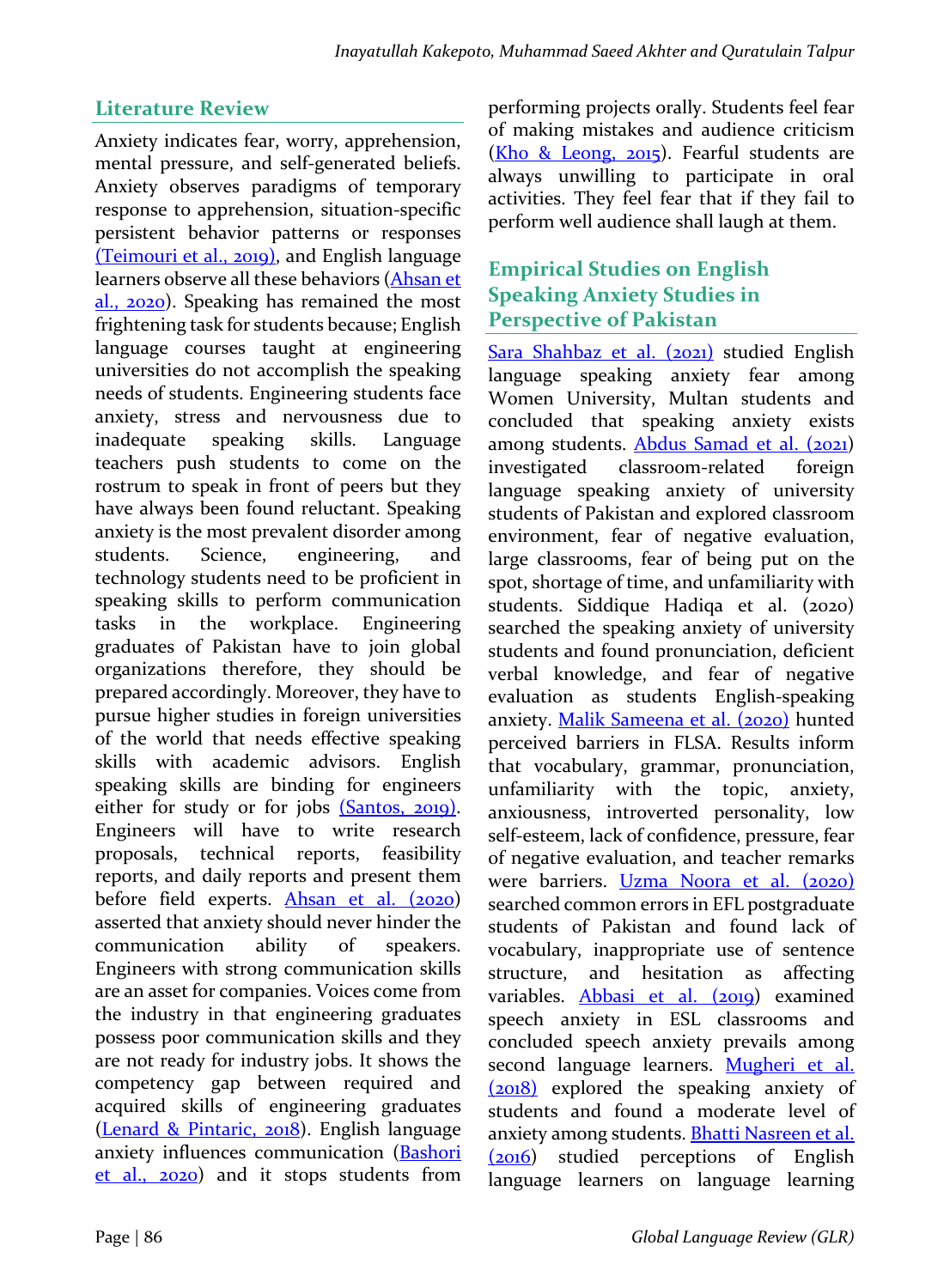## **Literature Review**

Anxiety indicates fear, worry, apprehension, mental pressure, and self-generated beliefs. Anxiety observes paradigms of temporary response to apprehension, situation-specific persistent behavior patterns or responses (Teimouri et al., 2019), and English language learners observe all these behaviors (Ahsan et al.,  $2020$ ). Speaking has remained the most frightening task for students because; English language courses taught at engineering universities do not accomplish the speaking needs of students. Engineering students face anxiety, stress and nervousness due to inadequate speaking skills. Language teachers push students to come on the rostrum to speak in front of peers but they have always been found reluctant. Speaking anxiety is the most prevalent disorder among students. Science, engineering, and technology students need to be proficient in speaking skills to perform communication tasks in the workplace. Engineering graduates of Pakistan have to join global organizations therefore, they should be prepared accordingly. Moreover, they have to pursue higher studies in foreign universities of the world that needs effective speaking skills with academic advisors. English speaking skills are binding for engineers either for study or for jobs (Santos, 2019). Engineers will have to write research proposals, technical reports, feasibility reports, and daily reports and present them before field experts. Ahsan et al.  $(2020)$ asserted that anxiety should never hinder the communication ability of speakers. Engineers with strong communication skills are an asset for companies. Voices come from the industry in that engineering graduates possess poor communication skills and they are not ready for industry jobs. It shows the competency gap between required and acquired skills of engineering graduates (Lenard & Pintaric, 2018). English language anxiety influences communication (Bashori  $et$  al.,  $2020$  and it stops students from performing projects orally. Students feel fear of making mistakes and audience criticism (Kho & Leong,  $2015$ ). Fearful students are always unwilling to participate in oral activities. They feel fear that if they fail to perform well audience shall laugh at them.

## **Empirical Studies on English Speaking Anxiety Studies in Perspective of Pakistan**

Sara Shahbaz et al. (2021) studied English language speaking anxiety fear among Women University, Multan students and concluded that speaking anxiety exists among students. Abdus Samad et al. (2021) investigated classroom-related foreign language speaking anxiety of university students of Pakistan and explored classroom environment, fear of negative evaluation, large classrooms, fear of being put on the spot, shortage of time, and unfamiliarity with students. Siddique Hadiqa et al. (2020) searched the speaking anxiety of university students and found pronunciation, deficient verbal knowledge, and fear of negative evaluation as students English-speaking anxiety. Malik Sameena et al. (2020) hunted perceived barriers in FLSA. Results inform that vocabulary, grammar, pronunciation, unfamiliarity with the topic, anxiety, anxiousness, introverted personality, low self-esteem, lack of confidence, pressure, fear of negative evaluation, and teacher remarks were barriers. Uzma Noora et al. (2020) searched common errors in EFL postgraduate students of Pakistan and found lack of vocabulary, inappropriate use of sentence structure, and hesitation as affecting variables. **Abbasi et al.** (2019) examined speech anxiety in ESL classrooms and concluded speech anxiety prevails among second language learners. Mugheri et al.  $(2018)$  explored the speaking anxiety of students and found a moderate level of anxiety among students. **Bhatti Nasreen et al.** (2016) studied perceptions of English language learners on language learning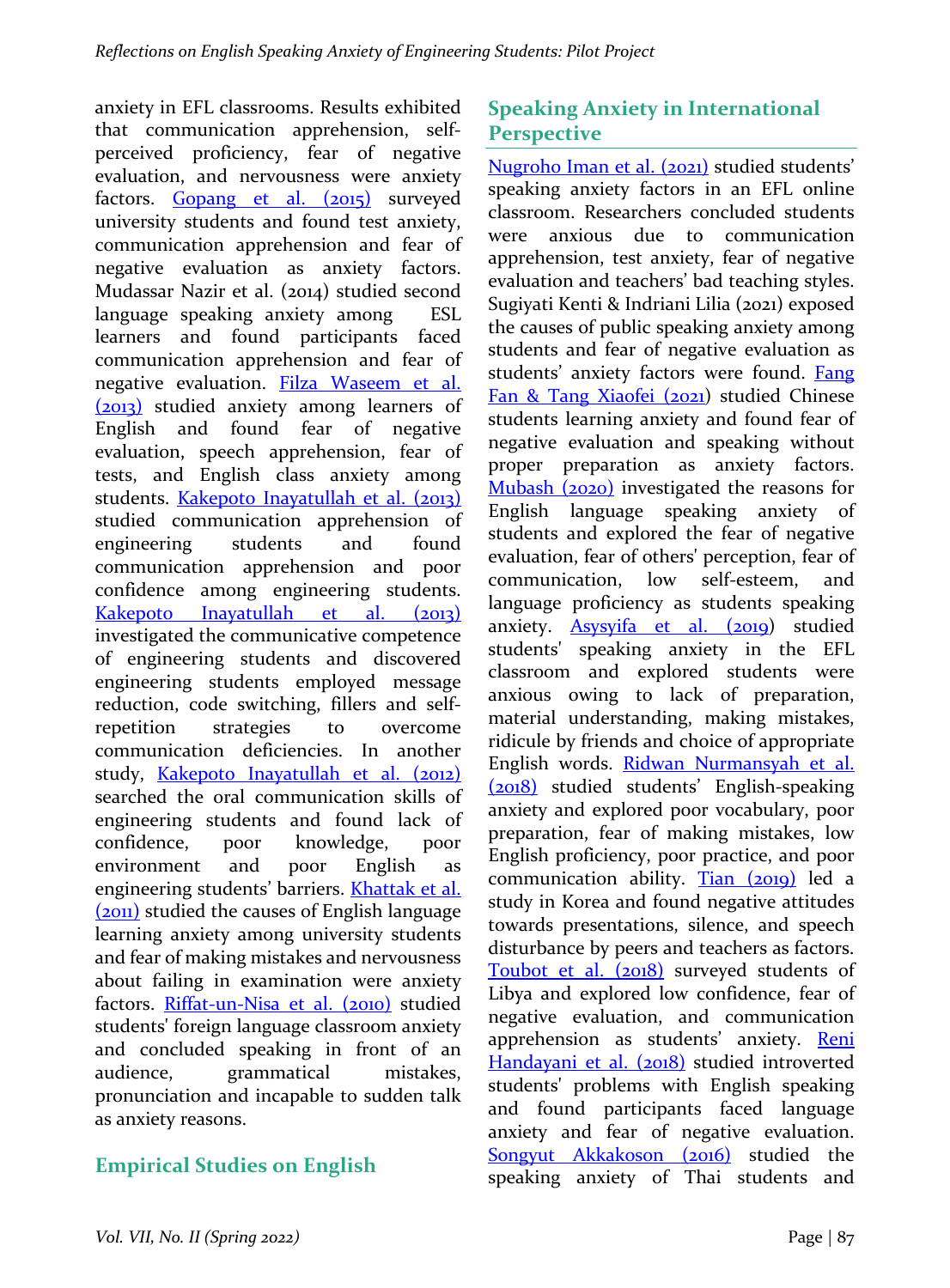anxiety in EFL classrooms. Results exhibited that communication apprehension, selfperceived proficiency, fear of negative evaluation, and nervousness were anxiety factors. Gopang et al. (2015) surveyed university students and found test anxiety, communication apprehension and fear of negative evaluation as anxiety factors. Mudassar Nazir et al. (2014) studied second language speaking anxiety among ESL learners and found participants faced communication apprehension and fear of negative evaluation. Filza Waseem et al. (2013) studied anxiety among learners of English and found fear of negative evaluation, speech apprehension, fear of tests, and English class anxiety among students. Kakepoto Inayatullah et al. (2013) studied communication apprehension of engineering students and found communication apprehension and poor confidence among engineering students. Kakepoto Inavatullah et al. (2013) investigated the communicative competence of engineering students and discovered engineering students employed message reduction, code switching, fillers and selfrepetition strategies to overcome communication deficiencies. In another study, Kakepoto Inayatullah et al. (2012) searched the oral communication skills of engineering students and found lack of confidence, poor knowledge, poor environment and poor English as engineering students' barriers. **Khattak et al.** (2011) studied the causes of English language learning anxiety among university students and fear of making mistakes and nervousness about failing in examination were anxiety factors. Riffat-un-Nisa et al. (2010) studied students' foreign language classroom anxiety and concluded speaking in front of an audience, grammatical mistakes, pronunciation and incapable to sudden talk as anxiety reasons.

# **Empirical Studies on English**

# **Speaking Anxiety in International Perspective**

Nugroho Iman et al. (2021) studied students' speaking anxiety factors in an EFL online classroom. Researchers concluded students were anxious due to communication apprehension, test anxiety, fear of negative evaluation and teachers' bad teaching styles. Sugiyati Kenti & Indriani Lilia (2021) exposed the causes of public speaking anxiety among students and fear of negative evaluation as students' anxiety factors were found. Fang Fan & Tang Xiaofei  $(2021)$  studied Chinese students learning anxiety and found fear of negative evaluation and speaking without proper preparation as anxiety factors. Mubash  $(2020)$  investigated the reasons for English language speaking anxiety of students and explored the fear of negative evaluation, fear of others' perception, fear of communication, low self-esteem, and language proficiency as students speaking anxiety. Asysyifa et al. (2019) studied students' speaking anxiety in the EFL classroom and explored students were anxious owing to lack of preparation, material understanding, making mistakes, ridicule by friends and choice of appropriate English words. Ridwan Nurmansyah et al. (2018) studied students' English-speaking anxiety and explored poor vocabulary, poor preparation, fear of making mistakes, low English proficiency, poor practice, and poor communication ability. Tian (2019) led a study in Korea and found negative attitudes towards presentations, silence, and speech disturbance by peers and teachers as factors. Toubot et al. (2018) surveyed students of Libya and explored low confidence, fear of negative evaluation, and communication apprehension as students' anxiety. Reni Handayani et al. (2018) studied introverted students' problems with English speaking and found participants faced language anxiety and fear of negative evaluation. Songyut Akkakoson (2016) studied the speaking anxiety of Thai students and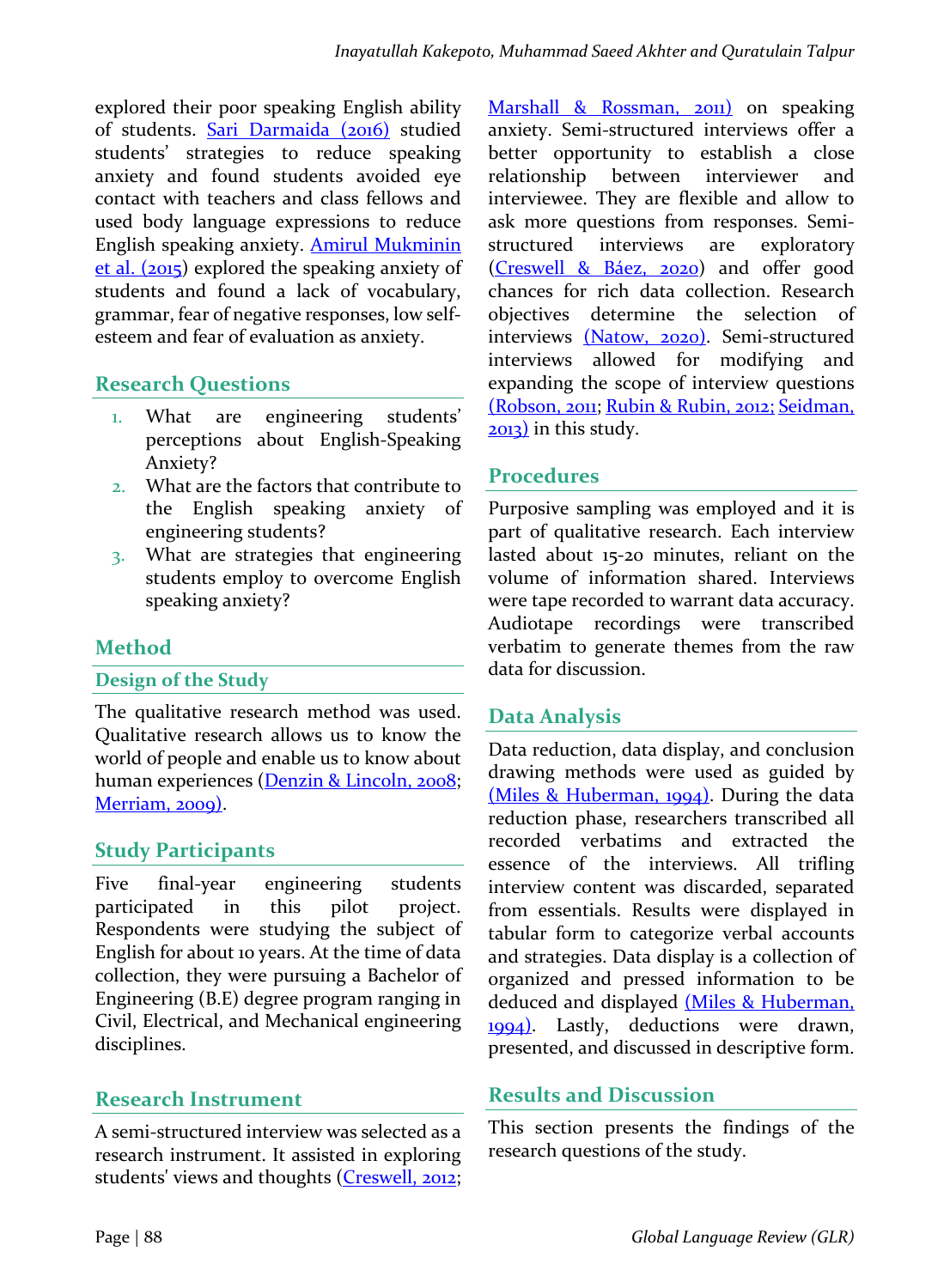explored their poor speaking English ability of students. **Sari Darmaida** (2016) studied students' strategies to reduce speaking anxiety and found students avoided eye contact with teachers and class fellows and used body language expressions to reduce English speaking anxiety. **Amirul Mukminin**  $et$  al. (2015) explored the speaking anxiety of students and found a lack of vocabulary, grammar, fear of negative responses, low selfesteem and fear of evaluation as anxiety.

### **Research Questions**

- 1. What are engineering students' perceptions about English-Speaking Anxiety?
- 2. What are the factors that contribute to the English speaking anxiety of engineering students?
- 3. What are strategies that engineering students employ to overcome English speaking anxiety?

### **Method**

#### **Design of the Study**

The qualitative research method was used. Qualitative research allows us to know the world of people and enable us to know about human experiences (Denzin & Lincoln, 2008; Merriam, 2009).

### **Study Participants**

Five final-year engineering students participated in this pilot project. Respondents were studying the subject of English for about 10 years. At the time of data collection, they were pursuing a Bachelor of Engineering (B.E) degree program ranging in Civil, Electrical, and Mechanical engineering disciplines. 

### **Research Instrument**

A semi-structured interview was selected as a research instrument. It assisted in exploring students' views and thoughts (Creswell, 2012;

Marshall & Rossman, 2011) on speaking anxiety. Semi-structured interviews offer a better opportunity to establish a close relationship between interviewer and interviewee. They are flexible and allow to ask more questions from responses. Semistructured interviews are exploratory (Creswell & Báez, 2020) and offer good chances for rich data collection. Research objectives determine the selection of interviews (Natow, 2020). Semi-structured interviews allowed for modifying and expanding the scope of interview questions (Robson, 2011; Rubin & Rubin, 2012; Seidman,  $2013$ ) in this study.

### **Procedures**

Purposive sampling was employed and it is part of qualitative research. Each interview lasted about 15-20 minutes, reliant on the volume of information shared. Interviews were tape recorded to warrant data accuracy. Audiotape recordings were transcribed verbatim to generate themes from the raw data for discussion.

### **Data Analysis**

Data reduction, data display, and conclusion drawing methods were used as guided by (Miles & Huberman, 1994). During the data reduction phase, researchers transcribed all recorded verbatims and extracted the essence of the interviews. All trifling interview content was discarded, separated from essentials. Results were displayed in tabular form to categorize verbal accounts and strategies. Data display is a collection of organized and pressed information to be deduced and displayed (Miles & Huberman, 1994). Lastly, deductions were drawn, presented, and discussed in descriptive form.

### **Results and Discussion**

This section presents the findings of the research questions of the study.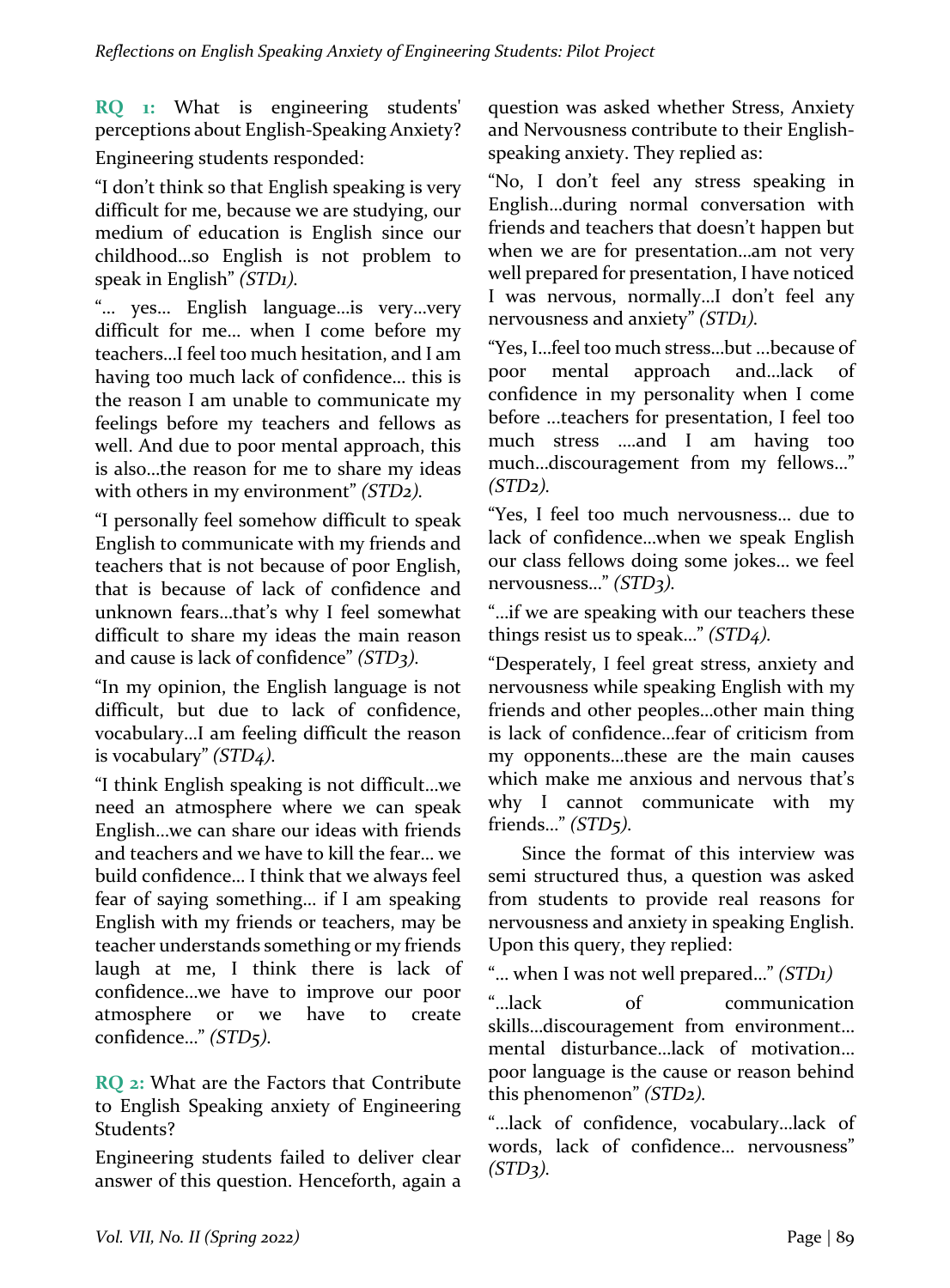**RQ** 1: What is engineering students' perceptions about English-Speaking Anxiety? Engineering students responded:

"I don't think so that English speaking is very difficult for me, because we are studying, our medium of education is English since our childhood...so English is not problem to speak in English" *(STD1)*.

"… yes… English language…is very…very difficult for me... when I come before my teachers...I feel too much hesitation, and I am having too much lack of confidence... this is the reason I am unable to communicate my feelings before my teachers and fellows as well. And due to poor mental approach, this is also...the reason for me to share my ideas with others in my environment" *(STD2)*.

"I personally feel somehow difficult to speak English to communicate with my friends and teachers that is not because of poor English, that is because of lack of confidence and unknown fears...that's why I feel somewhat difficult to share my ideas the main reason and cause is lack of confidence" *(STD3)*.

"In my opinion, the English language is not difficult, but due to lack of confidence, vocabulary...I am feeling difficult the reason is vocabulary" *(STD4)*.

"I think English speaking is not difficult...we need an atmosphere where we can speak English...we can share our ideas with friends and teachers and we have to kill the fear... we build confidence... I think that we always feel fear of saying something... if I am speaking English with my friends or teachers, may be teacher understands something or my friends laugh at me, I think there is lack of confidence...we have to improve our poor atmosphere or we have to create confidence…" *(STD5).*

**RQ** 2: What are the Factors that Contribute to English Speaking anxiety of Engineering Students? 

Engineering students failed to deliver clear answer of this question. Henceforth, again a question was asked whether Stress, Anxiety and Nervousness contribute to their Englishspeaking anxiety. They replied as:

"No, I don't feel any stress speaking in English...during normal conversation with friends and teachers that doesn't happen but when we are for presentation...am not very well prepared for presentation, I have noticed I was nervous, normally...I don't feel any nervousness and anxiety" *(STD1)*.

"Yes, I...feel too much stress...but ...because of poor mental approach and...lack of confidence in my personality when I come before ...teachers for presentation, I feel too much stress ....and I am having too much...discouragement from my fellows..." *(STD2).*

"Yes, I feel too much nervousness... due to lack of confidence...when we speak English our class fellows doing some jokes... we feel nervousness..." *(STD3)*.

"...if we are speaking with our teachers these things resist us to speak..." *(STD4)*.

"Desperately, I feel great stress, anxiety and nervousness while speaking English with my friends and other peoples...other main thing is lack of confidence...fear of criticism from my opponents...these are the main causes which make me anxious and nervous that's why I cannot communicate with my friends..." *(STD*5*)*.

Since the format of this interview was semi structured thus, a question was asked from students to provide real reasons for nervousness and anxiety in speaking English. Upon this query, they replied:

"... when I was not well prepared..." *(STD1)* 

"…lack of communication skills...discouragement from environment... mental disturbance...lack of motivation... poor language is the cause or reason behind this phenomenon" *(STD2)*.

"...lack of confidence, vocabulary...lack of words, lack of confidence... nervousness" *(STD3).*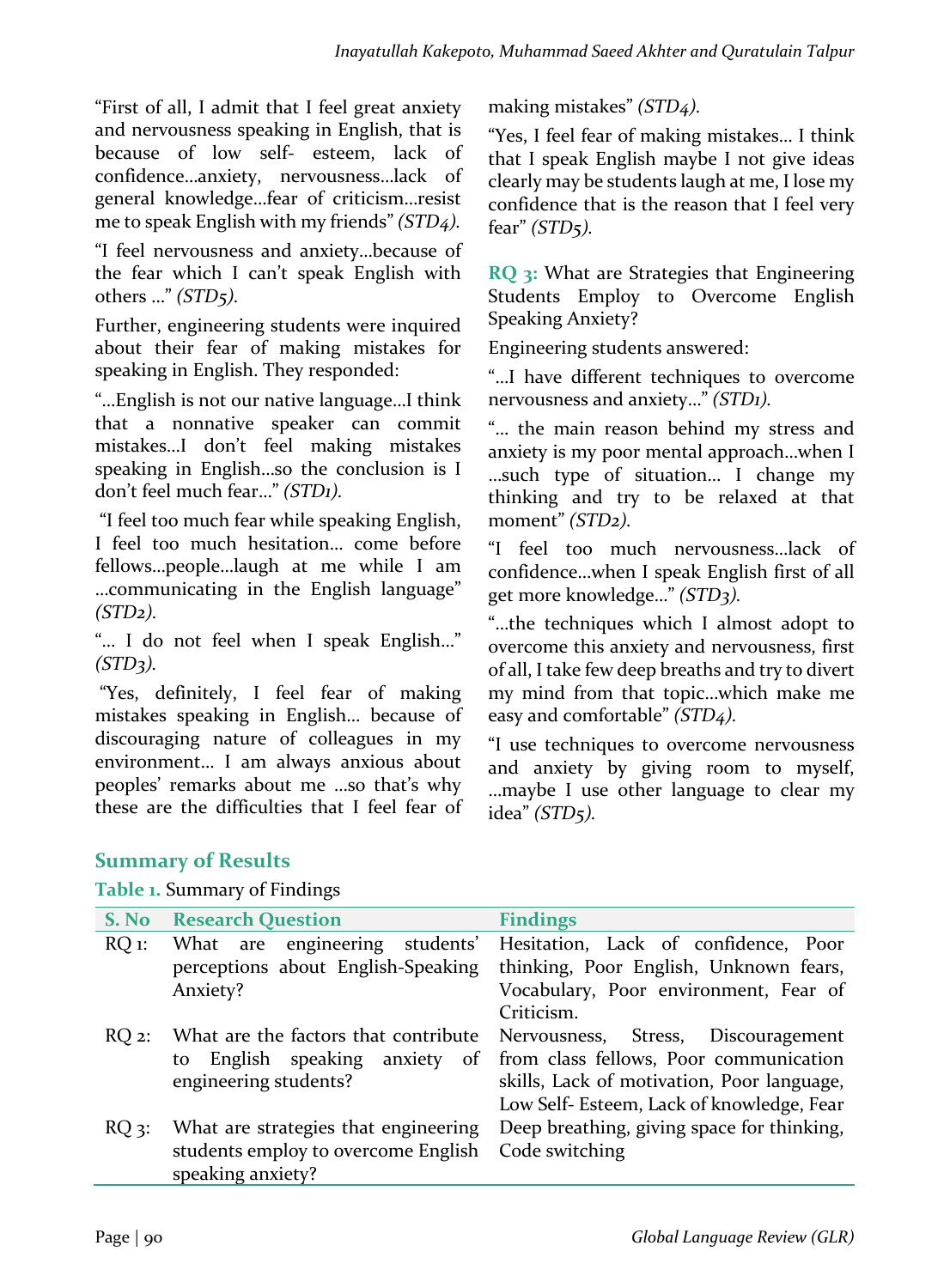"First of all, I admit that I feel great anxiety and nervousness speaking in English, that is because of low self- esteem, lack of confidence...anxiety, nervousness...lack of general knowledge...fear of criticism...resist me to speak English with my friends" *(STD4)*.

"I feel nervousness and anxiety...because of the fear which I can't speak English with others ..." *(STD5)*.

Further, engineering students were inquired about their fear of making mistakes for speaking in English. They responded:

"...English is not our native language...I think that a nonnative speaker can commit mistakes…I don't feel making mistakes speaking in English...so the conclusion is I don't feel much fear..." *(STD1)*.

"I feel too much fear while speaking English, I feel too much hesitation... come before fellows...people...laugh at me while I am ...communicating in the English language" *(STD2).*

"... I do not feel when I speak English..." *(STD3).*

"Yes, definitely, I feel fear of making mistakes speaking in English... because of discouraging nature of colleagues in my environment... I am always anxious about peoples' remarks about me ...so that's why these are the difficulties that I feel fear of making mistakes" *(STD4)*.

"Yes, I feel fear of making mistakes... I think that I speak English maybe I not give ideas clearly may be students laugh at me, I lose my confidence that is the reason that I feel very fear" *(STD5).*

**RQ** 3: What are Strategies that Engineering Students Employ to Overcome English Speaking Anxiety?

Engineering students answered:

"...I have different techniques to overcome nervousness and anxiety..." *(STD1)*.

"... the main reason behind my stress and anxiety is my poor mental approach...when I …such type of situation… I change my thinking and try to be relaxed at that moment" *(STD<sub>2</sub>)*.

"I feel too much nervousness…lack of confidence...when I speak English first of all get more knowledge..." *(STD3)*.

"...the techniques which I almost adopt to overcome this anxiety and nervousness, first of all, I take few deep breaths and try to divert my mind from that topic...which make me easy and comfortable" *(STD4)*.

"I use techniques to overcome nervousness and anxiety by giving room to myself, ...maybe I use other language to clear my idea" *(STD5).*

## **Summary of Results**

**Table 1. Summary of Findings** 

| S. No           | <b>Research Question</b>             | <b>Findings</b>                            |
|-----------------|--------------------------------------|--------------------------------------------|
| $RQ$ 1:         | engineering<br>students'<br>What are | Hesitation, Lack of confidence, Poor       |
|                 | perceptions about English-Speaking   | thinking, Poor English, Unknown fears,     |
|                 | Anxiety?                             | Vocabulary, Poor environment, Fear of      |
|                 |                                      | Criticism.                                 |
| $RO2$ :         | What are the factors that contribute | Nervousness,<br>Stress, Discouragement     |
|                 | English speaking anxiety of<br>to    | from class fellows, Poor communication     |
|                 | engineering students?                | skills, Lack of motivation, Poor language, |
|                 |                                      | Low Self- Esteem, Lack of knowledge, Fear  |
| RO <sub>3</sub> | What are strategies that engineering | Deep breathing, giving space for thinking, |
|                 | students employ to overcome English  | Code switching                             |
|                 | speaking anxiety?                    |                                            |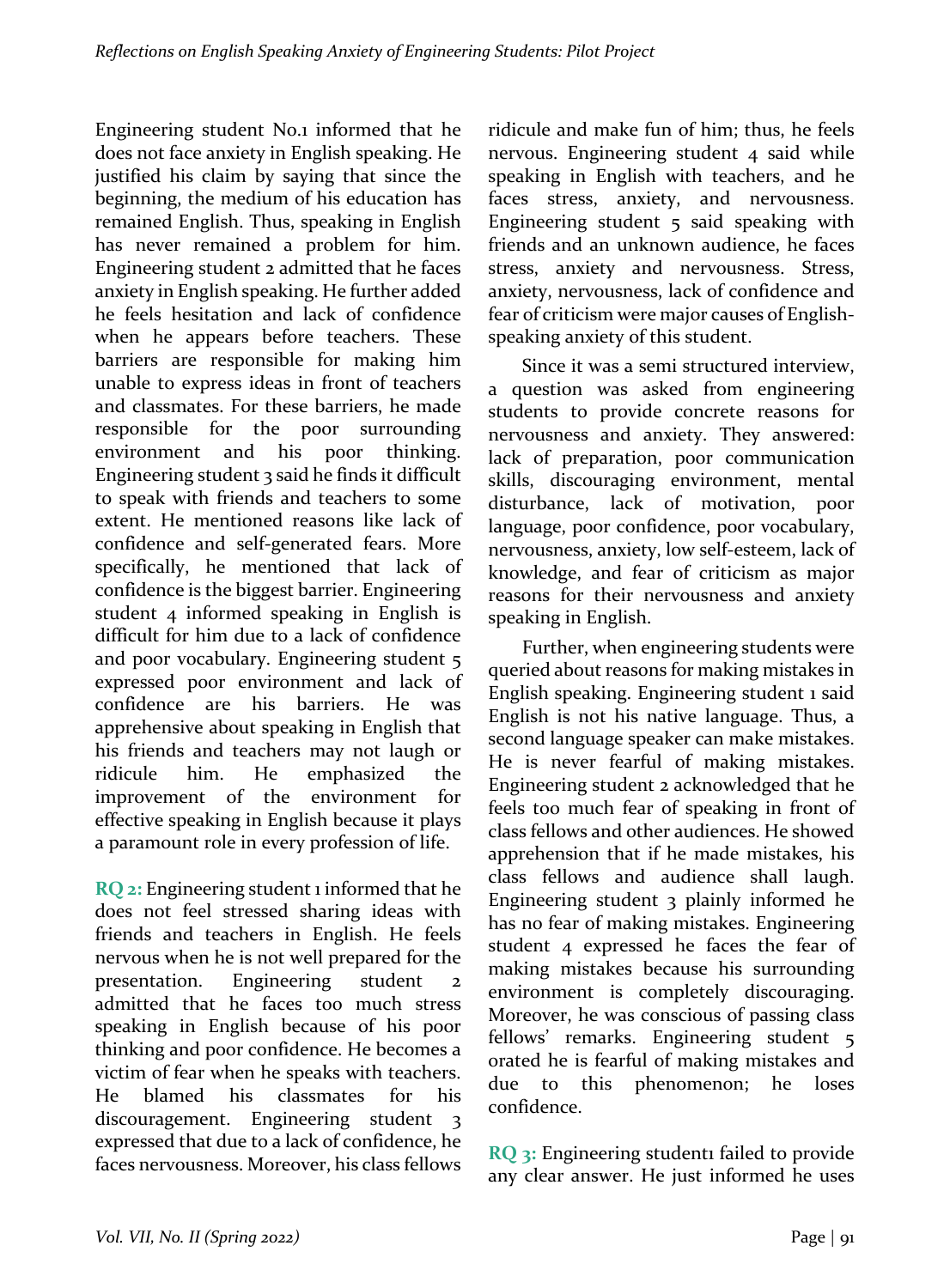Engineering student No.1 informed that he does not face anxiety in English speaking. He justified his claim by saying that since the beginning, the medium of his education has remained English. Thus, speaking in English has never remained a problem for him. Engineering student 2 admitted that he faces anxiety in English speaking. He further added he feels hesitation and lack of confidence when he appears before teachers. These barriers are responsible for making him unable to express ideas in front of teachers and classmates. For these barriers, he made responsible for the poor surrounding environment and his poor thinking. Engineering student  $\frac{1}{3}$  said he finds it difficult to speak with friends and teachers to some extent. He mentioned reasons like lack of confidence and self-generated fears. More specifically, he mentioned that lack of confidence is the biggest barrier. Engineering student  $4$  informed speaking in English is difficult for him due to a lack of confidence and poor vocabulary. Engineering student  $\frac{1}{5}$ expressed poor environment and lack of confidence are his barriers. He was apprehensive about speaking in English that his friends and teachers may not laugh or ridicule him. He emphasized the improvement of the environment for effective speaking in English because it plays a paramount role in every profession of life.

**RQ** 2: Engineering student 1 informed that he does not feel stressed sharing ideas with friends and teachers in English. He feels nervous when he is not well prepared for the presentation. Engineering student 2 admitted that he faces too much stress speaking in English because of his poor thinking and poor confidence. He becomes a victim of fear when he speaks with teachers. He blamed his classmates for his discouragement. Engineering student 3 expressed that due to a lack of confidence, he faces nervousness. Moreover, his class fellows ridicule and make fun of him; thus, he feels nervous. Engineering student 4 said while speaking in English with teachers, and he faces stress, anxiety, and nervousness. Engineering student  $5$  said speaking with friends and an unknown audience, he faces stress, anxiety and nervousness. Stress, anxiety, nervousness, lack of confidence and fear of criticism were major causes of Englishspeaking anxiety of this student.

Since it was a semi structured interview, a question was asked from engineering students to provide concrete reasons for nervousness and anxiety. They answered: lack of preparation, poor communication skills, discouraging environment, mental disturbance, lack of motivation, poor language, poor confidence, poor vocabulary, nervousness, anxiety, low self-esteem, lack of knowledge, and fear of criticism as major reasons for their nervousness and anxiety speaking in English.

Further, when engineering students were queried about reasons for making mistakes in English speaking. Engineering student 1 said English is not his native language. Thus, a second language speaker can make mistakes. He is never fearful of making mistakes. Engineering student 2 acknowledged that he feels too much fear of speaking in front of class fellows and other audiences. He showed apprehension that if he made mistakes, his class fellows and audience shall laugh. Engineering student  $\alpha$  plainly informed he has no fear of making mistakes. Engineering student  $4$  expressed he faces the fear of making mistakes because his surrounding environment is completely discouraging. Moreover, he was conscious of passing class fellows' remarks. Engineering student 5 orated he is fearful of making mistakes and due to this phenomenon; he loses confidence. 

**RQ** 3: Engineering student1 failed to provide any clear answer. He just informed he uses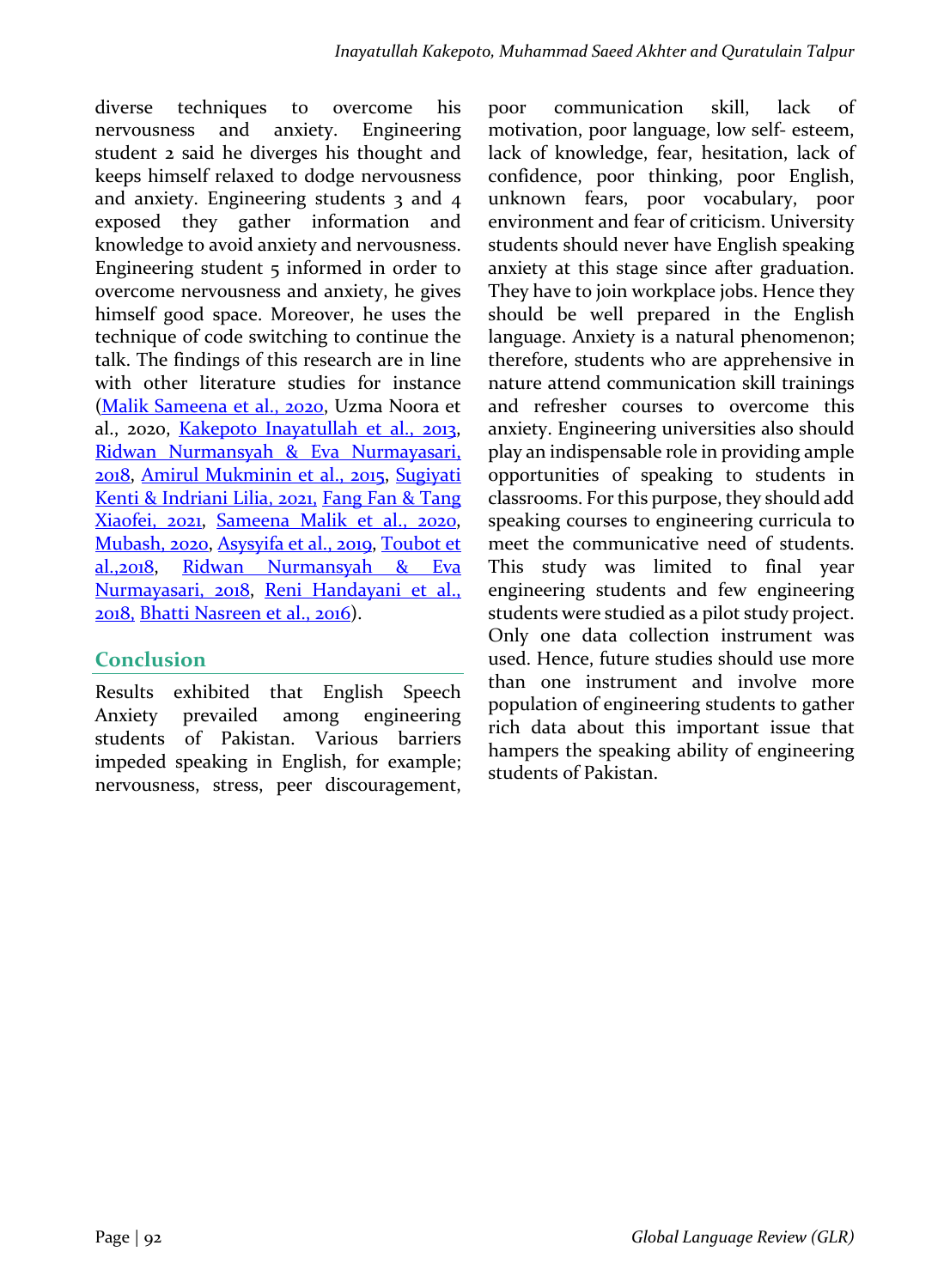diverse techniques to overcome his nervousness and anxiety. Engineering student 2 said he diverges his thought and keeps himself relaxed to dodge nervousness and anxiety. Engineering students  $3$  and  $4$ exposed they gather information and knowledge to avoid anxiety and nervousness. Engineering student  $5$  informed in order to overcome nervousness and anxiety, he gives himself good space. Moreover, he uses the technique of code switching to continue the talk. The findings of this research are in line with other literature studies for instance (Malik Sameena et al., 2020, Uzma Noora et al., 2020, Kakepoto Inayatullah et al., 2013, Ridwan Nurmansyah & Eva Nurmayasari, 2018, Amirul Mukminin et al., 2015, Sugiyati Kenti & Indriani Lilia, 2021, Fang Fan & Tang Xiaofei, 2021, Sameena Malik et al., 2020, Mubash, 2020, Asysyifa et al., 2019, Toubot et al.,2018, Ridwan Nurmansyah & Eva Nurmayasari, 2018, Reni Handayani et al., 2018, Bhatti Nasreen et al., 2016).

## **Conclusion**

Results exhibited that English Speech Anxiety prevailed among engineering students of Pakistan. Various barriers impeded speaking in English, for example; nervousness, stress, peer discouragement, poor communication skill, lack of motivation, poor language, low self- esteem, lack of knowledge, fear, hesitation, lack of confidence, poor thinking, poor English, unknown fears, poor vocabulary, poor environment and fear of criticism. University students should never have English speaking anxiety at this stage since after graduation. They have to join workplace jobs. Hence they should be well prepared in the English language. Anxiety is a natural phenomenon; therefore, students who are apprehensive in nature attend communication skill trainings and refresher courses to overcome this anxiety. Engineering universities also should play an indispensable role in providing ample opportunities of speaking to students in classrooms. For this purpose, they should add speaking courses to engineering curricula to meet the communicative need of students. This study was limited to final year engineering students and few engineering students were studied as a pilot study project. Only one data collection instrument was used. Hence, future studies should use more than one instrument and involve more population of engineering students to gather rich data about this important issue that hampers the speaking ability of engineering students of Pakistan.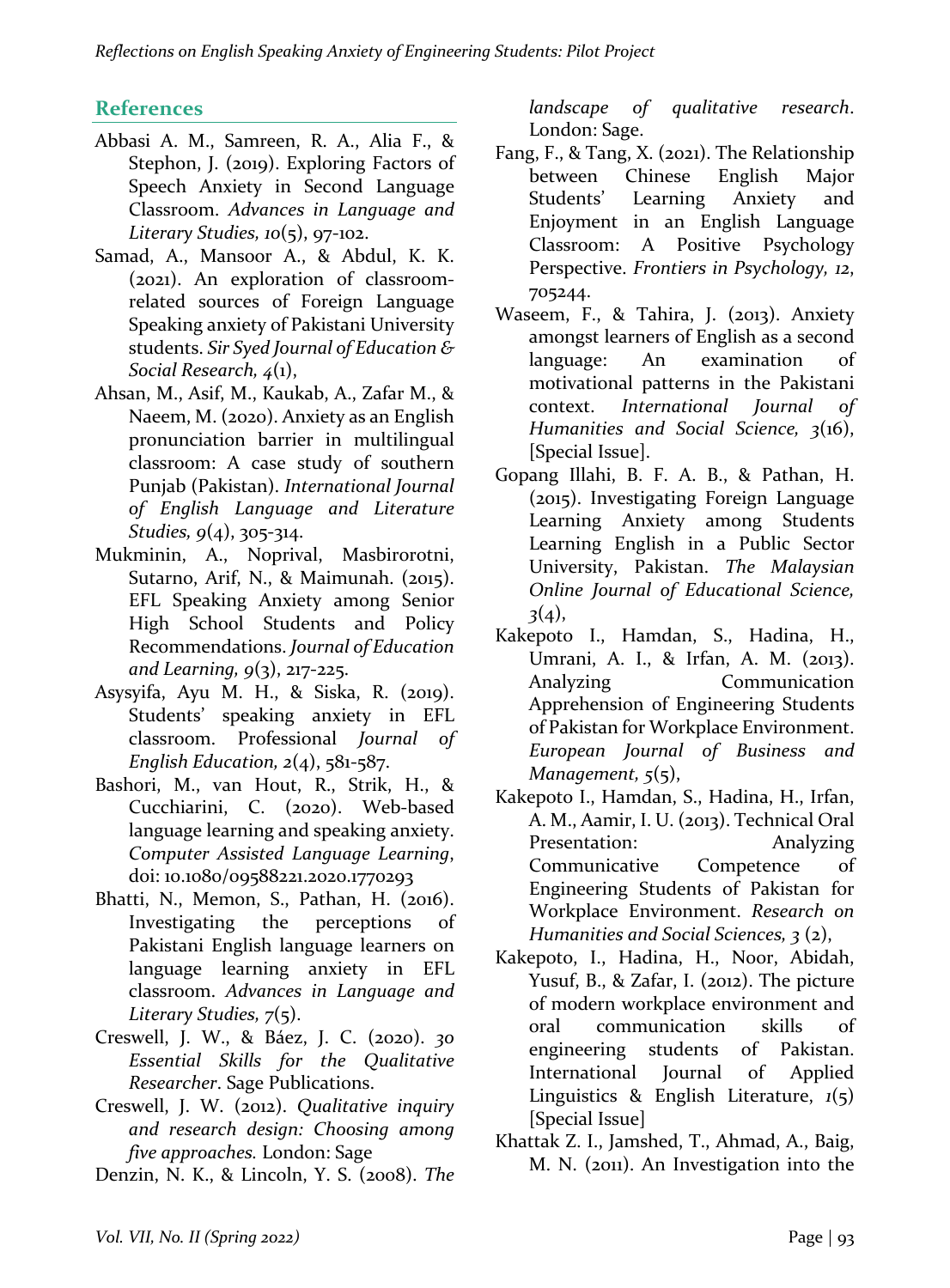# **References**

- Abbasi A. M., Samreen, R. A., Alia F., & Stephon, J. (2019). Exploring Factors of Speech Anxiety in Second Language Classroom. *Advances in Language and Literary Studies, 10*(5), 97-102.
- Samad, A., Mansoor A., & Abdul, K. K. (2021). An exploration of classroomrelated sources of Foreign Language Speaking anxiety of Pakistani University students. *Sir Syed Journal of Education & Social Research, 4*(1),
- Ahsan, M., Asif, M., Kaukab, A., Zafar M., & Naeem, M. (2020). Anxiety as an English pronunciation barrier in multilingual classroom: A case study of southern Punjab (Pakistan). *International Journal of English Language and Literature Studies*,  $9(4)$ , 305-314.
- Mukminin, A., Noprival, Masbirorotni, Sutarno, Arif, N., & Maimunah. (2015). EFL Speaking Anxiety among Senior High School Students and Policy Recommendations. *Journal of Education and Learning, 9*(3), 217-225.
- Asysyifa, Ayu M. H., & Siska, R. (2019). Students' speaking anxiety in EFL classroom. Professional *Journal of English Education,*  $2(4)$ ,  $581-587$ .
- Bashori, M., van Hout, R., Strik, H., & Cucchiarini, C. (2020). Web-based language learning and speaking anxiety. *Computer Assisted Language Learning*, doi: 10.1080/09588221.2020.1770293
- Bhatti, N., Memon, S., Pathan, H. (2016). Investigating the perceptions of Pakistani English language learners on language learning anxiety in EFL classroom. *Advances in Language and Literary Studies, 7*(5).
- Creswell, J. W., & Báez, J. C. (2020). 30 *Essential Skills for the Qualitative Researcher*. Sage Publications.
- Creswell, J. W. (2012). *Qualitative inquiry and research design: Choosing among five approaches.* London: Sage
- Denzin, N. K., & Lincoln, Y. S. (2008). *The*

*landscape of qualitative research*. London: Sage.

- Fang, F., & Tang, X. (2021). The Relationship between Chinese English Major Students' Learning Anxiety and Enjoyment in an English Language Classroom: A Positive Psychology Perspective. *Frontiers in Psychology, 12*, 705244.
- Waseem, F., & Tahira, J. (2013). Anxiety amongst learners of English as a second language: An examination of motivational patterns in the Pakistani context. *International Journal of Humanities and Social Science, 3*(16), [Special Issue].
- Gopang Illahi, B. F. A. B., & Pathan, H.  $(2015)$ . Investigating Foreign Language Learning Anxiety among Students Learning English in a Public Sector University, Pakistan. The Malaysian *Online Journal of Educational Science, 3*(4),
- Kakepoto I., Hamdan, S., Hadina, H., Umrani, A. I., & Irfan, A. M. (2013). Analyzing Communication Apprehension of Engineering Students of Pakistan for Workplace Environment. *European Journal of Business and Management*,  $5(5)$ ,
- Kakepoto I., Hamdan, S., Hadina, H., Irfan, A. M., Aamir, I. U. (2013). Technical Oral Presentation: Analyzing Communicative Competence of Engineering Students of Pakistan for Workplace Environment. *Research on Humanities and Social Sciences*, 3(2),
- Kakepoto, I., Hadina, H., Noor, Abidah, Yusuf, B., & Zafar, I.  $(2012)$ . The picture of modern workplace environment and oral communication skills of engineering students of Pakistan. International Journal of Applied Linguistics & English Literature,  $1(5)$ [Special Issue]
- Khattak Z. I., Jamshed, T., Ahmad, A., Baig, M. N. (2011). An Investigation into the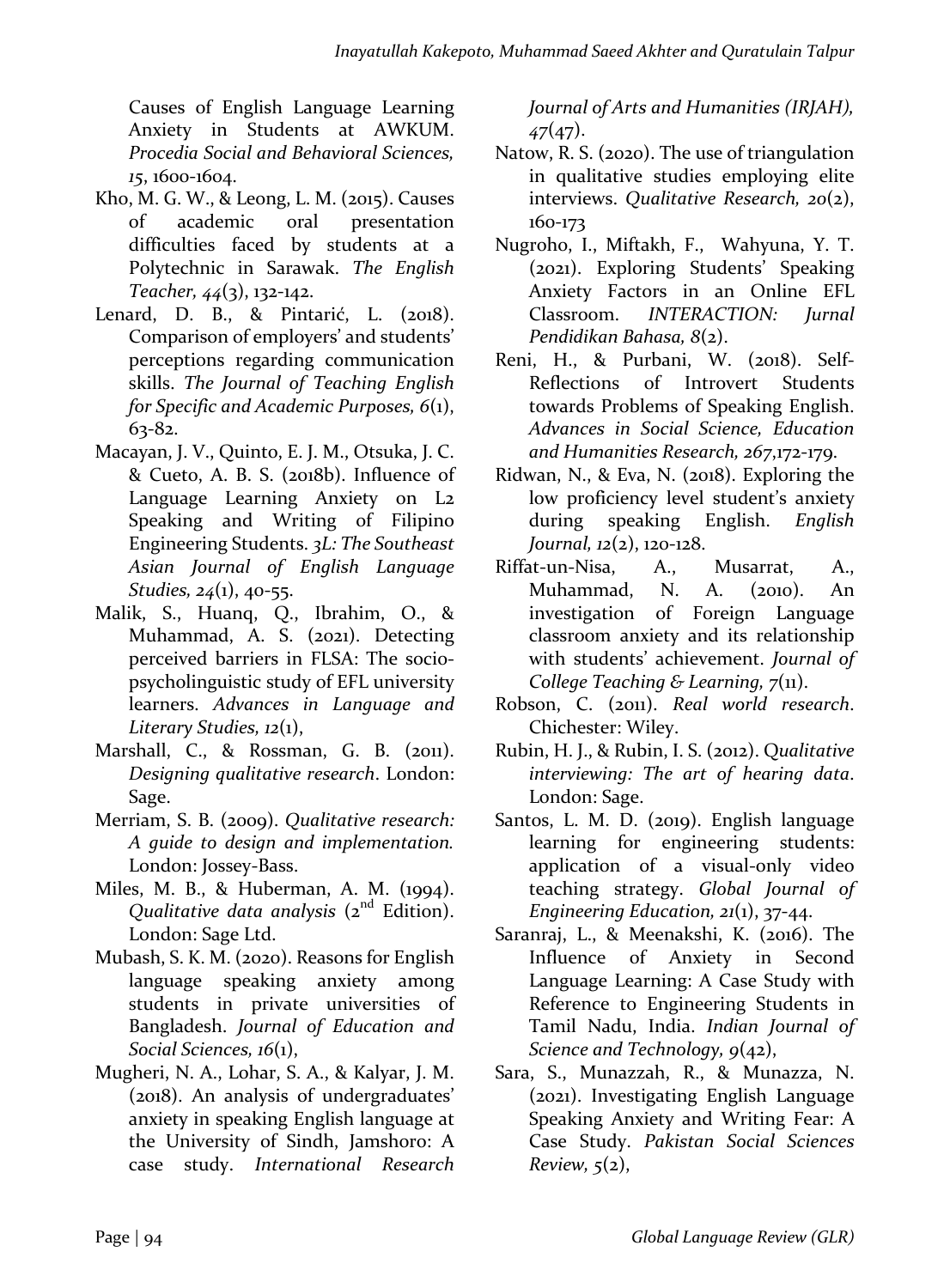Causes of English Language Learning Anxiety in Students at AWKUM. *Procedia Social and Behavioral Sciences,*  15, 1600-1604.

- Kho, M. G. W., & Leong, L. M.  $(2015)$ . Causes of academic oral presentation difficulties faced by students at a Polytechnic in Sarawak. The English *Teacher, 44*(3), 132-142.
- Lenard, D. B., & Pintarić, L. (2018). Comparison of employers' and students' perceptions regarding communication skills. The Journal of Teaching English *for Specific and Academic Purposes,*  $6(1)$ , 63-82.
- Macayan, J. V., Quinto, E. J. M., Otsuka, J. C. & Cueto, A. B. S. (2018b). Influence of Language Learning Anxiety on L<sub>2</sub> Speaking and Writing of Filipino Engineering Students. 3L: The Southeast *Asian Journal of English Language Studies*, 24(1), 40-55.
- Malik, S., Huanq, Q., Ibrahim, O., & Muhammad, A. S. (2021). Detecting perceived barriers in FLSA: The sociopsycholinguistic study of EFL university learners. *Advances* in Language and *Literary Studies, 12*(1),
- Marshall, C., & Rossman, G. B. (2011). *Designing qualitative research*. London: Sage.
- Merriam, S. B. (2009). *Qualitative research: A guide to design and implementation.* London: Jossey-Bass.
- Miles, M. B., & Huberman, A. M. (1994). *Qualitative data analysis* (2<sup>nd</sup> Edition). London: Sage Ltd.
- Mubash, S. K. M. (2020). Reasons for English language speaking anxiety among students in private universities of Bangladesh. *Journal of Education and Social Sciences, 16*(1),
- Mugheri, N. A., Lohar, S. A., & Kalyar, J. M. (2018). An analysis of undergraduates' anxiety in speaking English language at the University of Sindh, Jamshoro: A case study. *International Research*

*Journal of Arts and Humanities (IRJAH), 47*(47).

- Natow, R. S. (2020). The use of triangulation in qualitative studies employing elite interviews. *Qualitative Research, 20*(2), 160-173
- Nugroho, I., Miftakh, F., Wahyuna, Y. T. (2021). Exploring Students' Speaking Anxiety Factors in an Online EFL Classroom. **INTERACTION:** *Iurnal Pendidikan Bahasa, 8*(2).
- Reni, H., & Purbani, W. (2018). Self-Reflections of Introvert Students towards Problems of Speaking English. *Advances in Social Science, Education and Humanities Research, 267*,172-179.
- Ridwan, N., & Eva, N.  $(2018)$ . Exploring the low proficiency level student's anxiety during speaking English. *English Journal, 12*(2), 120-128.
- Riffat-un-Nisa, A., Musarrat, A., Muhammad, N. A. (2010). An investigation of Foreign Language classroom anxiety and its relationship with students' achievement. *Journal of College Teaching & Learning, 7(11).*
- Robson, C. (2011). *Real world research*. Chichester: Wiley.
- Rubin, H. J., & Rubin, I. S. (2012). Qualitative *interviewing: The art of hearing data*. London: Sage.
- Santos, L. M. D. (2019). English language learning for engineering students: application of a visual-only video teaching strategy. Global Journal of *Engineering Education, 21(1), 37-44.*
- Saranraj, L., & Meenakshi, K. (2016). The Influence of Anxiety in Second Language Learning: A Case Study with Reference to Engineering Students in Tamil Nadu, India. *Indian Journal of Science and Technology, 9(42),*
- Sara, S., Munazzah, R., & Munazza, N. (2021). Investigating English Language Speaking Anxiety and Writing Fear: A Case Study. *Pakistan Social Sciences Review, 5*(2),